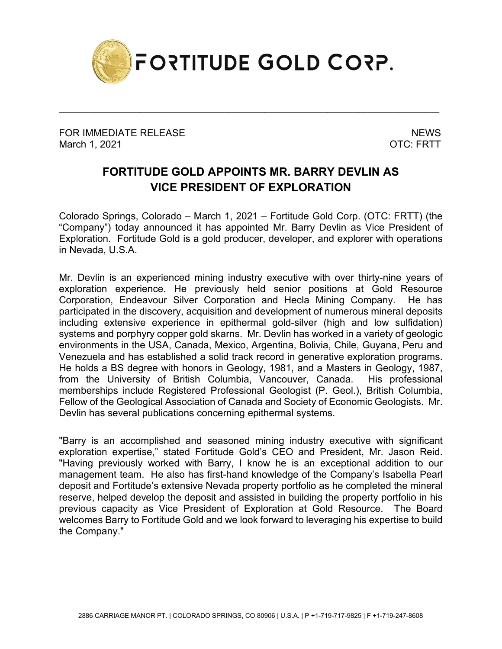

\_\_\_\_\_\_\_\_\_\_\_\_\_\_\_\_\_\_\_\_\_\_\_\_\_\_\_\_\_\_\_\_\_\_\_\_\_\_\_\_\_\_\_\_\_\_\_\_\_\_\_\_\_\_\_\_\_\_\_\_\_\_\_\_\_\_\_\_\_\_\_\_\_\_\_\_\_\_\_\_\_\_\_\_\_

FOR IMMEDIATE RELEASE NEWS ARE A SERIES OF A SERIES OF A SERIES OF A SERIES OF A SERIES OF A SERIES OF A SERIES March 1, 2021 **OTC: FRTT** 

## **FORTITUDE GOLD APPOINTS MR. BARRY DEVLIN AS VICE PRESIDENT OF EXPLORATION**

Colorado Springs, Colorado – March 1, 2021 – Fortitude Gold Corp. (OTC: FRTT) (the "Company") today announced it has appointed Mr. Barry Devlin as Vice President of Exploration. Fortitude Gold is a gold producer, developer, and explorer with operations in Nevada, U.S.A.

Mr. Devlin is an experienced mining industry executive with over thirty-nine years of exploration experience. He previously held senior positions at Gold Resource Corporation, Endeavour Silver Corporation and Hecla Mining Company. He has participated in the discovery, acquisition and development of numerous mineral deposits including extensive experience in epithermal gold-silver (high and low sulfidation) systems and porphyry copper gold skarns. Mr. Devlin has worked in a variety of geologic environments in the USA, Canada, Mexico, Argentina, Bolivia, Chile, Guyana, Peru and Venezuela and has established a solid track record in generative exploration programs. He holds a BS degree with honors in Geology, 1981, and a Masters in Geology, 1987, from the University of British Columbia, Vancouver, Canada. His professional memberships include Registered Professional Geologist (P. Geol.), British Columbia, Fellow of the Geological Association of Canada and Society of Economic Geologists. Mr. Devlin has several publications concerning epithermal systems.

"Barry is an accomplished and seasoned mining industry executive with significant exploration expertise," stated Fortitude Gold's CEO and President, Mr. Jason Reid. "Having previously worked with Barry, I know he is an exceptional addition to our management team. He also has first-hand knowledge of the Company's Isabella Pearl deposit and Fortitude's extensive Nevada property portfolio as he completed the mineral reserve, helped develop the deposit and assisted in building the property portfolio in his previous capacity as Vice President of Exploration at Gold Resource. The Board welcomes Barry to Fortitude Gold and we look forward to leveraging his expertise to build the Company."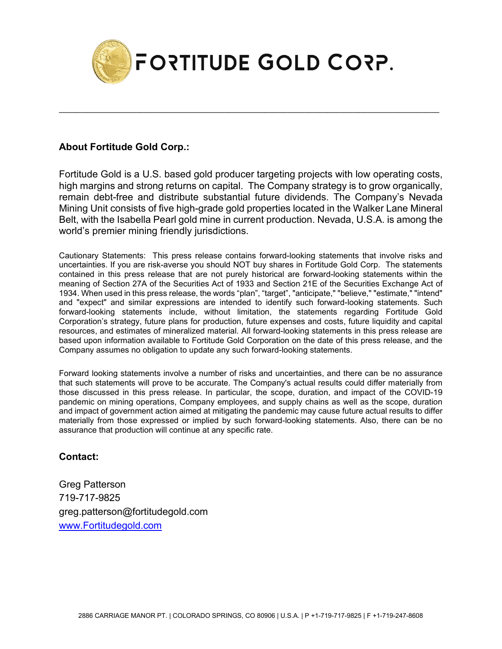

\_\_\_\_\_\_\_\_\_\_\_\_\_\_\_\_\_\_\_\_\_\_\_\_\_\_\_\_\_\_\_\_\_\_\_\_\_\_\_\_\_\_\_\_\_\_\_\_\_\_\_\_\_\_\_\_\_\_\_\_\_\_\_\_\_\_\_\_\_\_\_\_\_\_\_\_\_\_\_\_\_\_\_\_\_

## **About Fortitude Gold Corp.:**

Fortitude Gold is a U.S. based gold producer targeting projects with low operating costs, high margins and strong returns on capital. The Company strategy is to grow organically, remain debt-free and distribute substantial future dividends. The Company's Nevada Mining Unit consists of five high-grade gold properties located in the Walker Lane Mineral Belt, with the Isabella Pearl gold mine in current production. Nevada, U.S.A. is among the world's premier mining friendly jurisdictions.

Cautionary Statements: This press release contains forward-looking statements that involve risks and uncertainties. If you are risk-averse you should NOT buy shares in Fortitude Gold Corp. The statements contained in this press release that are not purely historical are forward-looking statements within the meaning of Section 27A of the Securities Act of 1933 and Section 21E of the Securities Exchange Act of 1934. When used in this press release, the words "plan", "target", "anticipate," "believe," "estimate," "intend" and "expect" and similar expressions are intended to identify such forward-looking statements. Such forward-looking statements include, without limitation, the statements regarding Fortitude Gold Corporation's strategy, future plans for production, future expenses and costs, future liquidity and capital resources, and estimates of mineralized material. All forward-looking statements in this press release are based upon information available to Fortitude Gold Corporation on the date of this press release, and the Company assumes no obligation to update any such forward-looking statements.

Forward looking statements involve a number of risks and uncertainties, and there can be no assurance that such statements will prove to be accurate. The Company's actual results could differ materially from those discussed in this press release. In particular, the scope, duration, and impact of the COVID-19 pandemic on mining operations, Company employees, and supply chains as well as the scope, duration and impact of government action aimed at mitigating the pandemic may cause future actual results to differ materially from those expressed or implied by such forward-looking statements. Also, there can be no assurance that production will continue at any specific rate.

## **Contact:**

Greg Patterson 719-717-9825 greg.patterson@fortitudegold.com [www.Fortitudegold.com](http://www.fortitudegold.com/)